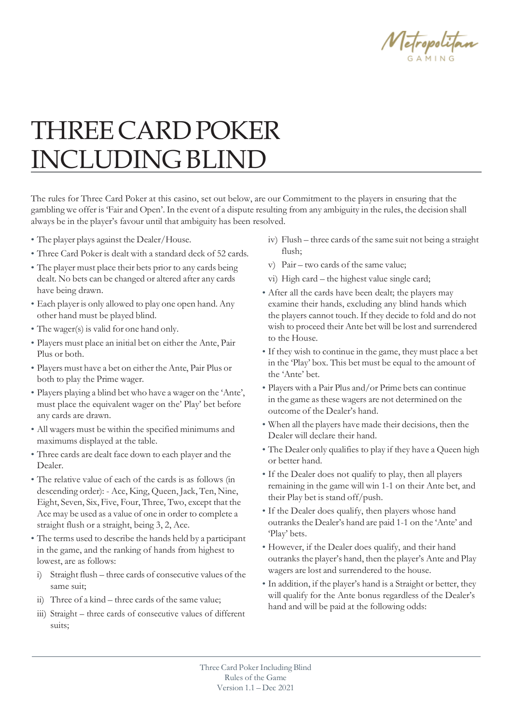

# THREECARDPOKER INCLUDING BLIND

The rules for Three Card Poker at this casino, set out below, are our Commitment to the players in ensuring that the gambling we offer is 'Fair and Open'. In the event of a dispute resulting from any ambiguity in the rules, the decision shall always be in the player's favour until that ambiguity has been resolved.

- The player plays against the Dealer/House.
- Three Card Poker is dealt with a standard deck of 52 cards.
- The player must place their bets prior to any cards being dealt. No bets can be changed or altered after any cards have being drawn.
- Each player is only allowed to play one open hand. Any other hand must be played blind.
- The wager(s) is valid for one hand only.
- Players must place an initial bet on either the Ante, Pair Plus or both.
- Players must have a bet on either the Ante, Pair Plus or both to play the Prime wager.
- Players playing a blind bet who have a wager on the 'Ante', must place the equivalent wager on the' Play' bet before any cards are drawn.
- All wagers must be within the specified minimums and maximums displayed at the table.
- Three cards are dealt face down to each player and the Dealer.
- The relative value of each of the cards is as follows (in descending order): - Ace, King, Queen, Jack, Ten, Nine, Eight, Seven, Six, Five, Four, Three, Two, except that the Ace may be used as a value of one in order to complete a straight flush or a straight, being 3, 2, Ace.
- The terms used to describe the hands held by a participant in the game, and the ranking of hands from highest to lowest, are as follows:
- i) Straight flush three cards of consecutive values of the same suit;
- ii) Three of a kind three cards of the same value;
- iii) Straight three cards of consecutive values of different suits;
- iv) Flush three cards of the same suit not being a straight flush;
- v) Pair two cards of the same value;
- vi) High card the highest value single card;
- After all the cards have been dealt; the players may examine their hands, excluding any blind hands which the players cannot touch. If they decide to fold and do not wish to proceed their Ante bet will be lost and surrendered to the House.
- If they wish to continue in the game, they must place a bet in the 'Play' box. This bet must be equal to the amount of the 'Ante' bet.
- Players with a Pair Plus and/or Prime bets can continue in the game as these wagers are not determined on the outcome of the Dealer's hand.
- When all the players have made their decisions, then the Dealer will declare their hand.
- The Dealer only qualifies to play if they have a Queen high or better hand.
- If the Dealer does not qualify to play, then all players remaining in the game will win 1-1 on their Ante bet, and their Play bet is stand off/push.
- If the Dealer does qualify, then players whose hand outranks the Dealer's hand are paid 1-1 on the 'Ante' and 'Play' bets.
- However, if the Dealer does qualify, and their hand outranks the player's hand, then the player's Ante and Play wagers are lost and surrendered to the house.
- In addition, if the player's hand is a Straight or better, they will qualify for the Ante bonus regardless of the Dealer's hand and will be paid at the following odds: